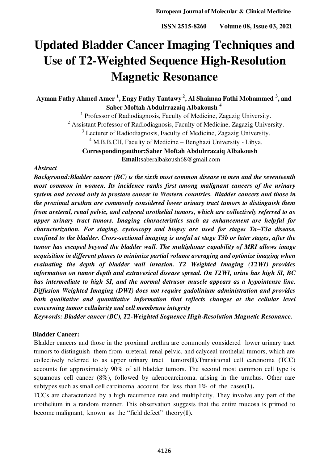# **Updated Bladder Cancer Imaging Techniques and Use of T2-Weighted Sequence High-Resolution Magnetic Resonance**

**Ayman Fathy Ahmed Amer <sup>1</sup> , Engy Fathy Tantawy<sup>2</sup>, Al Shaimaa Fathi Mohammed <sup>3</sup> , and Saber Moftah Abdulrrazaiq Albakoush <sup>4</sup>**

<sup>1</sup> Professor of Radiodiagnosis, Faculty of Medicine, Zagazig University.

<sup>2</sup> Assistant Professor of Radiodiagnosis, Faculty of Medicine, Zagazig University.

<sup>3</sup> Lecturer of Radiodiagnosis, Faculty of Medicine, Zagazig University.

<sup>4</sup> M.B.B.CH, Faculty of Medicine – Benghazi University - Libya.

**Correspondingauthor:Saber Moftah Abdulrrazaiq Albakoush** 

**Email:**saberalbakoush68@gmail.com

#### *Abstract*

*Background:Bladder cancer (BC) is the sixth most common disease in men and the seventeenth most common in women. Its incidence ranks first among malignant cancers of the urinary system and second only to prostate cancer in Western countries. Bladder cancers and those in the proximal urethra are commonly considered lower urinary tract tumors to distinguish them from ureteral, renal pelvic, and calyceal urothelial tumors, which are collectively referred to as upper urinary tract tumors. Imaging characteristics such as enhancement are helpful for characterization. For staging, cystoscopy and biopsy are used for stages Ta–T3a disease, confined to the bladder. Cross-sectional imaging is useful at stage T3b or later stages, after the tumor has escaped beyond the bladder wall. The multiplanar capability of MRI allows image acquisition in different planes to minimize partial volume averaging and optimize imaging when evaluating the depth of bladder wall invasion. T2 Weighted Imaging (T2WI) provides information on tumor depth and extravesical disease spread. On T2WI, urine has high SI, BC has intermediate to high SI, and the normal detrusor muscle appears as a hypointense line. Diffusion Weighted Imaging (DWI) does not require gadolinium administration and provides*  both qualitative and quantitative information that reflects changes at the cellular level *concerning tumor cellularity and cell membrane integrity* 

*Keywords: Bladder cancer (BC), T2-Weighted Sequence High-Resolution Magnetic Resonance.* 

# **Bladder Cancer:**

Bladder cancers and those in the proximal urethra are commonly considered lower urinary tract tumors to distinguish them from ureteral, renal pelvic, and calyceal urothelial tumors, which are collectively referred to as upper urinary tract tumors**(1).**Transitional cell carcinoma (TCC) accounts for approximately 90% of all bladder tumors. The second most common cell type is squamous cell cancer (8%), followed by adenocarcinoma, arising in the urachus. Other rare subtypes such as small cell carcinoma account for less than 1% of the cases**(1).**

TCCs are characterized by a high recurrence rate and multiplicity. They involve any part of the urothelium in a random manner. This observation suggests that the entire mucosa is primed to become malignant, known as the "field defect" theory**(1).**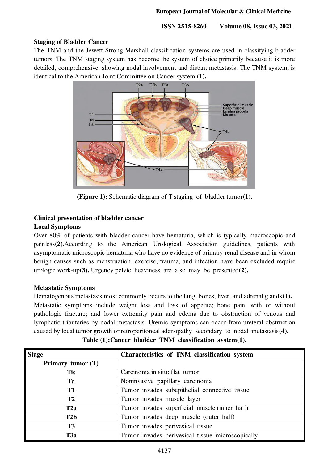## **Staging of Bladder Cancer**

The TNM and the Jewett-Strong-Marshall classification systems are used in classifying bladder tumors. The TNM staging system has become the system of choice primarily because it is more detailed, comprehensive, showing nodal involvement and distant metastasis. The TNM system, is identical to the American Joint Committee on Cancer system **(1).**



**(Figure 1):** Schematic diagram of T staging of bladder tumor**(1).** 

# **Clinical presentation of bladder cancer**

## **Local Symptoms**

Over 80% of patients with bladder cancer have hematuria, which is typically macroscopic and painless**(2).**According to the American Urological Association guidelines, patients with asymptomatic microscopic hematuria who have no evidence of primary renal disease and in whom benign causes such as menstruation, exercise, trauma, and infection have been excluded require urologic work-up**(3).** Urgency pelvic heaviness are also may be presented**(2).** 

## **Metastatic Symptoms**

Hematogenous metastasis most commonly occurs to the lung, bones, liver, and adrenal glands**(1).**  Metastatic symptoms include weight loss and loss of appetite; bone pain, with or without pathologic fracture; and lower extremity pain and edema due to obstruction of venous and lymphatic tributaries by nodal metastasis. Uremic symptoms can occur from ureteral obstruction caused by local tumor growth or retroperitoneal adenopathy secondary to nodal metastasis**(4).**

| <b>Stage</b>      | Characteristics of TNM classification system     |
|-------------------|--------------------------------------------------|
| Primary tumor (T) |                                                  |
| <b>Tis</b>        | Carcinoma in situ: flat tumor                    |
| Ta                | Noninvasive papillary carcinoma                  |
| T1                | Tumor invades subepithelial connective tissue    |
| T2                | Tumor invades muscle layer                       |
| T <sub>2</sub> a  | Tumor invades superficial muscle (inner half)    |
| T2b               | Tumor invades deep muscle (outer half)           |
| <b>T3</b>         | Tumor invades perivesical tissue                 |
| T <sub>3</sub> a  | Tumor invades perivesical tissue microscopically |

**Table (1):Cancer bladder TNM classification system(1).**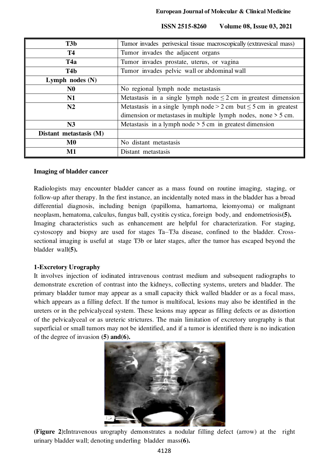| T <sub>3</sub> b       | Tumor invades perivesical tissue macroscopically (extravesical mass)   |
|------------------------|------------------------------------------------------------------------|
| <b>T4</b>              | Tumor invades the adjacent organs                                      |
| T <sub>4</sub> a       | Tumor invades prostate, uterus, or vagina                              |
| T <sub>4</sub> b       | Tumor invades pelvic wall or abdominal wall                            |
| Lymph nodes $(N)$      |                                                                        |
| N <sub>0</sub>         | No regional lymph node metastasis                                      |
| N1                     | Metastasis in a single lymph node $\leq$ 2 cm in greatest dimension    |
| N2                     | Metastasis in a single lymph node $> 2$ cm but $\leq$ 5 cm in greatest |
|                        | dimension or metastases in multiple lymph nodes, none > 5 cm.          |
| N <sub>3</sub>         | Metastasis in a lymph node $>$ 5 cm in greatest dimension              |
| Distant metastasis (M) |                                                                        |
| $\bf M0$               | No distant metastasis                                                  |
| $\mathbf{M1}$          | Distant metastasis                                                     |

#### **Imaging of bladder cancer**

Radiologists may encounter bladder cancer as a mass found on routine imaging, staging, or follow-up after therapy. In the first instance, an incidentally noted mass in the bladder has a broad differential diagnosis, including benign (papilloma, hamartoma, leiomyoma) or malignant neoplasm, hematoma, calculus, fungus ball, cystitis cystica, foreign body, and endometriosis**(5).** Imaging characteristics such as enhancement are helpful for characterization. For staging, cystoscopy and biopsy are used for stages Ta–T3a disease, confined to the bladder. Crosssectional imaging is useful at stage T3b or later stages, after the tumor has escaped beyond the bladder wall**(5).** 

## **1-Excretory Urography**

It involves injection of iodinated intravenous contrast medium and subsequent radiographs to demonstrate excretion of contrast into the kidneys, collecting systems, ureters and bladder. The primary bladder tumor may appear as a small capacity thick walled bladder or as a focal mass, which appears as a filling defect. If the tumor is multifocal, lesions may also be identified in the ureters or in the pelvicalyceal system. These lesions may appear as filling defects or as distortion of the pelvicalyceal or as ureteric strictures. The main limitation of excretory urography is that superficial or small tumors may not be identified, and if a tumor is identified there is no indication of the degree of invasion **(5) and(6).**



**(Figure 2):**Intravenous urography demonstrates a nodular filling defect (arrow) at the right urinary bladder wall; denoting underling bladder mass**(6).**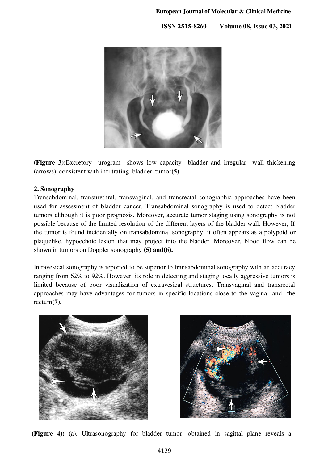

**(Figure 3):**Excretory urogram shows low capacity bladder and irregular wall thickening (arrows), consistent with infiltrating bladder tumor**(5).** 

# **2. Sonography**

Transabdominal, transurethral, transvaginal, and transrectal sonographic approaches have been used for assessment of bladder cancer. Transabdominal sonography is used to detect bladder tumors although it is poor prognosis. Moreover, accurate tumor staging using sonography is not possible because of the limited resolution of the different layers of the bladder wall. However, If the tumor is found incidentally on transabdominal sonography, it often appears as a polypoid or plaquelike, hypoechoic lesion that may project into the bladder. Moreover, blood flow can be shown in tumors on Doppler sonography **(5) and(6).** 

Intravesical sonography is reported to be superior to transabdominal sonography with an accuracy ranging from 62% to 92%. However, its role in detecting and staging locally aggressive tumors is limited because of poor visualization of extravesical structures. Transvaginal and transrectal approaches may have advantages for tumors in specific locations close to the vagina and the rectum**(7).**





**(Figure 4):** (a). Ultrasonography for bladder tumor; obtained in sagittal plane reveals a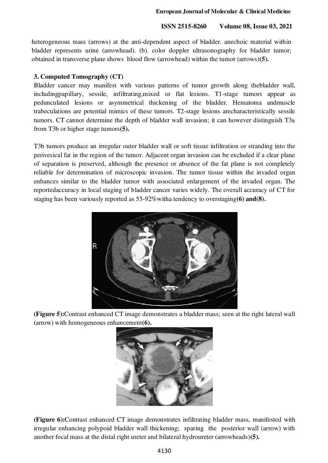#### **European Journal of Molecular & Clinical Medicine**

#### **ISSN 2515-8260 Volume 08, Issue 03, 2021**

heterogeneous mass (arrows) at the anti-dependent aspect of bladder. anechoic material within bladder represents urine (arrowhead). (b). color doppler ultrasonography for bladder tumor; obtained in transverse plane shows blood flow (arrowhead) within the tumor (arrows)**(5).** 

## **3. Computed Tomography (CT)**

Bladder cancer may manifest with various patterns of tumor growth along thebladder wall, includingpapillary, sessile, infiltrating,mixed or flat lesions. T1-stage tumors appear as pedunculated lesions or asymmetrical thickening of the bladder. Hematoma andmuscle trabeculations are potential mimics of these tumors. T2-stage lesions arecharacteristically sessile tumors. CT cannot determine the depth of bladder wall invasion; it can however distinguish T3a from T3b or higher stage tumors**(5).** 

T3b tumors produce an irregular outer bladder wall or soft tissue infiltration or stranding into the perivesical fat in the region of the tumor. Adjacent organ invasion can be excluded if a clear plane of separation is preserved, although the presence or absence of the fat plane is not completely reliable for determination of microscopic invasion. The tumor tissue within the invaded organ enhances similar to the bladder tumor with associated enlargement of the invaded organ. The reportedaccuracy in local staging of bladder cancer varies widely. The overall accuracy of CT for staging has been variously reported as 55-92%witha tendency to overstaging**(6) and(8).**



**(Figure 5):**Contrast enhanced CT image demonstrates a bladder mass; seen at the right lateral wall (arrow) with homogeneous enhancement**(6).** 



**(Figure 6):**Contrast enhanced CT image demonstrates infiltrating bladder mass, manifested with irregular enhancing polypoid bladder wall thickening; sparing the posterior wall (arrow) with another focal mass at the distal right ureter and bilateral hydroureter (arrowheads)**(5).**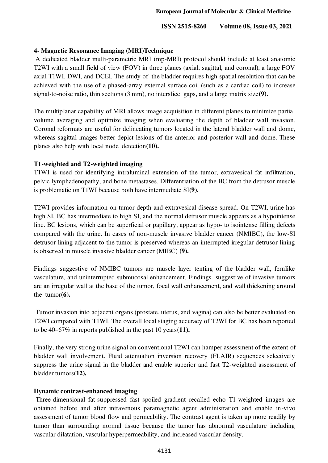#### **4- Magnetic Resonance Imaging (MRI)Technique**

 A dedicated bladder multi-parametric MRI (mp-MRI) protocol should include at least anatomic T2WI with a small field of view (FOV) in three planes (axial, sagittal, and coronal), a large FOV axial T1WI, DWI, and DCEI. The study of the bladder requires high spatial resolution that can be achieved with the use of a phased-array external surface coil (such as a cardiac coil) to increase signal-to-noise ratio, thin sections (3 mm), no interslice gaps, and a large matrix size**(9).**

The multiplanar capability of MRI allows image acquisition in different planes to minimize partial volume averaging and optimize imaging when evaluating the depth of bladder wall invasion. Coronal reformats are useful for delineating tumors located in the lateral bladder wall and dome, whereas sagittal images better depict lesions of the anterior and posterior wall and dome. These planes also help with local node detection**(10).**

## **T1-weighted and T2-weighted imaging**

T1WI is used for identifying intraluminal extension of the tumor, extravesical fat infiltration, pelvic lymphadenopathy, and bone metastases. Differentiation of the BC from the detrusor muscle is problematic on T1WI because both have intermediate SI**(9).**

T2WI provides information on tumor depth and extravesical disease spread. On T2WI, urine has high SI, BC has intermediate to high SI, and the normal detrusor muscle appears as a hypointense line. BC lesions, which can be superficial or papillary, appear as hypo- to isointense filling defects compared with the urine. In cases of non-muscle invasive bladder cancer (NMIBC), the low-SI detrusor lining adjacent to the tumor is preserved whereas an interrupted irregular detrusor lining is observed in muscle invasive bladder cancer (MIBC) **(9).**

Findings suggestive of NMIBC tumors are muscle layer tenting of the bladder wall, fernlike vasculature, and uninterrupted submucosal enhancement. Findings suggestive of invasive tumors are an irregular wall at the base of the tumor, focal wall enhancement, and wall thickening around the tumor**(6).**

 Tumor invasion into adjacent organs (prostate, uterus, and vagina) can also be better evaluated on T2WI compared with T1WI. The overall local staging accuracy of T2WI for BC has been reported to be 40–67% in reports published in the past 10 years**(11).**

Finally, the very strong urine signal on conventional T2WI can hamper assessment of the extent of bladder wall involvement. Fluid attenuation inversion recovery (FLAIR) sequences selectively suppress the urine signal in the bladder and enable superior and fast T2-weighted assessment of bladder tumors**(12).**

#### **Dynamic contrast-enhanced imaging**

 Three-dimensional fat-suppressed fast spoiled gradient recalled echo T1-weighted images are obtained before and after intravenous paramagnetic agent administration and enable in-vivo assessment of tumor blood flow and permeability. The contrast agent is taken up more readily by tumor than surrounding normal tissue because the tumor has abnormal vasculature including vascular dilatation, vascular hyperpermeability, and increased vascular density.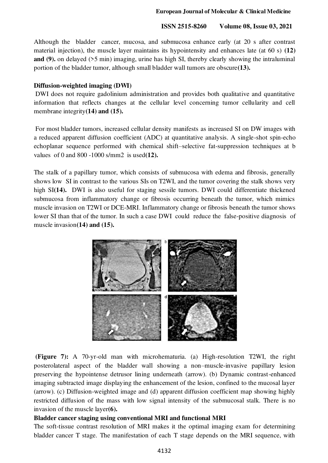Although the bladder cancer, mucosa, and submucosa enhance early (at 20 s after contrast material injection), the muscle layer maintains its hypointensity and enhances late (at 60 s) **(12) and (9).** on delayed (>5 min) imaging, urine has high SI, thereby clearly showing the intraluminal portion of the bladder tumor, although small bladder wall tumors are obscure**(13).**

#### **Diffusion-weighted imaging (DWI)**

 DWI does not require gadolinium administration and provides both qualitative and quantitative information that reflects changes at the cellular level concerning tumor cellularity and cell membrane integrity**(14) and (15).** 

 For most bladder tumors, increased cellular density manifests as increased SI on DW images with a reduced apparent diffusion coefficient (ADC) at quantitative analysis. A single-shot spin-echo echoplanar sequence performed with chemical shift–selective fat-suppression techniques at b values of 0 and 800 -1000 s/mm2 is used**(12).** 

The stalk of a papillary tumor, which consists of submucosa with edema and fibrosis, generally shows low SI in contrast to the various SIs on T2WI, and the tumor covering the stalk shows very high SI(14). DWI is also useful for staging sessile tumors. DWI could differentiate thickened submucosa from inflammatory change or fibrosis occurring beneath the tumor, which mimics muscle invasion on T2WI or DCE-MRI. Inflammatory change or fibrosis beneath the tumor shows lower SI than that of the tumor. In such a case DWI could reduce the false-positive diagnosis of muscle invasion**(14) and (15).** 



 **(Figure 7):** A 70-yr-old man with microhematuria. (a) High-resolution T2WI, the right posterolateral aspect of the bladder wall showing a non–muscle-invasive papillary lesion preserving the hypointense detrusor lining underneath (arrow). (b) Dynamic contrast-enhanced imaging subtracted image displaying the enhancement of the lesion, confined to the mucosal layer (arrow). (c) Diffusion-weighted image and (d) apparent diffusion coefficient map showing highly restricted diffusion of the mass with low signal intensity of the submucosal stalk. There is no invasion of the muscle layer**(6).** 

#### **Bladder cancer staging using conventional MRI and functional MRI**

The soft-tissue contrast resolution of MRI makes it the optimal imaging exam for determining bladder cancer T stage. The manifestation of each T stage depends on the MRI sequence, with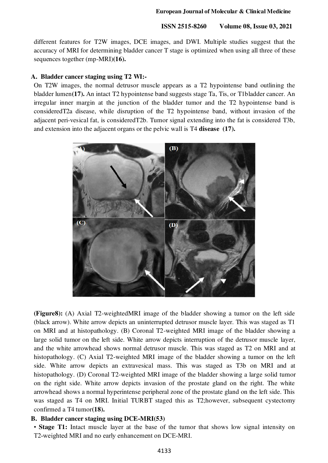**European Journal of Molecular & Clinical Medicine** 

 **ISSN 2515-8260 Volume 08, Issue 03, 2021**

different features for T2W images, DCE images, and DWI. Multiple studies suggest that the accuracy of MRI for determining bladder cancer T stage is optimized when using all three of these sequences together (mp-MRI)**(16).**

#### **A. Bladder cancer staging using T2 WI:-**

On T2W images, the normal detrusor muscle appears as a T2 hypointense band outlining the bladder lumen**(17).** An intact T2 hypointense band suggests stage Ta, Tis, or T1bladder cancer. An irregular inner margin at the junction of the bladder tumor and the T2 hypointense band is consideredT2a disease, while disruption of the T2 hypointense band, without invasion of the adjacent peri-vesical fat, is consideredT2b. Tumor signal extending into the fat is considered T3b, and extension into the adjacent organs or the pelvic wall is T4 **disease (17).** 



**(Figure8):** (A) Axial T2-weightedMRI image of the bladder showing a tumor on the left side (black arrow). White arrow depicts an uninterrupted detrusor muscle layer. This was staged as T1 on MRI and at histopathology. (B) Coronal T2-weighted MRI image of the bladder showing a large solid tumor on the left side. White arrow depicts interruption of the detrusor muscle layer, and the white arrowhead shows normal detrusor muscle. This was staged as T2 on MRI and at histopathology. (C) Axial T2-weighted MRI image of the bladder showing a tumor on the left side. White arrow depicts an extravesical mass. This was staged as T3b on MRI and at histopathology. (D) Coronal T2-weighted MRI image of the bladder showing a large solid tumor on the right side. White arrow depicts invasion of the prostate gland on the right. The white arrowhead shows a normal hyperintense peripheral zone of the prostate gland on the left side. This was staged as T4 on MRI. Initial TURBT staged this as T2;however, subsequent cystectomy confirmed a T4 tumor**(18).**

## **B. Bladder cancer staging using DCE-MRI(53)**

• **Stage T1:** Intact muscle layer at the base of the tumor that shows low signal intensity on T2-weighted MRI and no early enhancement on DCE-MRI.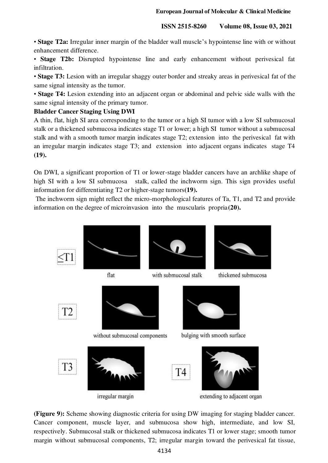• **Stage T2a:** Irregular inner margin of the bladder wall muscle's hypointense line with or without enhancement difference.

• **Stage T2b:** Disrupted hypointense line and early enhancement without perivesical fat infiltration.

• **Stage T3:** Lesion with an irregular shaggy outer border and streaky areas in perivesical fat of the same signal intensity as the tumor.

• **Stage T4:** Lesion extending into an adjacent organ or abdominal and pelvic side walls with the same signal intensity of the primary tumor.

# **Bladder Cancer Staging Using DWI**

A thin, flat, high SI area corresponding to the tumor or a high SI tumor with a low SI submucosal stalk or a thickened submucosa indicates stage T1 or lower; a high SI tumor without a submucosal stalk and with a smooth tumor margin indicates stage T2; extension into the perivesical fat with an irregular margin indicates stage T3; and extension into adjacent organs indicates stage T4 **(19).**

On DWI, a significant proportion of T1 or lower-stage bladder cancers have an archlike shape of high SI with a low SI submucosa stalk, called the inchworm sign. This sign provides useful information for differentiating T2 or higher-stage tumors**(19).**

 The inchworm sign might reflect the micro-morphological features of Ta, T1, and T2 and provide information on the degree of microinvasion into the muscularis propria**(20).**



**(Figure 9):** Scheme showing diagnostic criteria for using DW imaging for staging bladder cancer. Cancer component, muscle layer, and submucosa show high, intermediate, and low SI, respectively. Submucosal stalk or thickened submucosa indicates T1 or lower stage; smooth tumor margin without submucosal components, T2; irregular margin toward the perivesical fat tissue,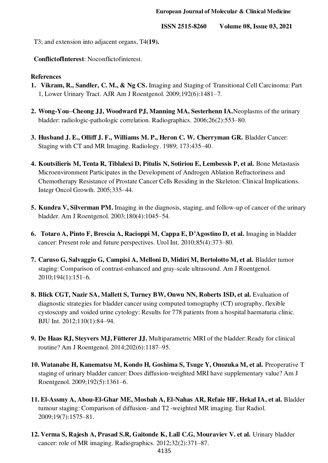T3; and extension into adjacent organs, T4**(19).**

**ConflictofInterest**: Noconflictofinterest.

## **References**

- **1. Vikram, R., Sandler, C. M., & Ng CS.** Imaging and Staging of Transitional Cell Carcinoma: Part 1, Lower Urinary Tract. AJR Am J Roentgenol. 2009;192(6):1481–7.
- **2. Wong-You–Cheong JJ, Woodward PJ, Manning MA, Sesterhenn IA.**Neoplasms of the urinary bladder: radiologic-pathologic correlation. Radiographics. 2006;26(2):553–80.
- **3. Husband J. E., Olliff J. F., Williams M. P., Heron C. W. Cherryman GR.** Bladder Cancer: Staging with CT and MR Imaging. Radiology. 1989; 173:435–40.
- **4. Koutsilieris M, Tenta R, Tiblalexi D, Pitulis N, Sotiriou E, Lembessis P, et al.** Bone Metastasis Microenvironment Participates in the Development of Androgen Ablation Refractoriness and Chemotherapy Resistance of Prostate Cancer Cells Residing in the Skeleton: Clinical Implications. Integr Oncol Growth. 2005;335–44.
- **5. Kundra V, Silverman PM.** Imaging in the diagnosis, staging, and follow-up of cancer of the urinary bladder. Am J Roentgenol. 2003;180(4):1045–54.
- **6. Totaro A, Pinto F, Brescia A, Racioppi M, Cappa E, D'Agostino D, et al.** Imaging in bladder cancer: Present role and future perspectives. Urol Int. 2010;85(4):373–80.
- **7. Caruso G, Salvaggio G, Campisi A, Melloni D, Midiri M, Bertolotto M, et al.** Bladder tumor staging: Comparison of contrast-enhanced and gray-scale ultrasound. Am J Roentgenol. 2010;194(1):151–6.
- **8. Blick CGT, Nazir SA, Mallett S, Turney BW, Onwu NN, Roberts ISD, et al.** Evaluation of diagnostic strategies for bladder cancer using computed tomography (CT) urography, flexible cystoscopy and voided urine cytology: Results for 778 patients from a hospital haematuria clinic. BJU Int. 2012;110(1):84–94.
- **9. De Haas RJ, Steyvers MJ, Fütterer JJ.** Multiparametric MRI of the bladder: Ready for clinical routine? Am J Roentgenol. 2014;202(6):1187–95.
- **10. Watanabe H, Kanematsu M, Kondo H, Goshima S, Tsuge Y, Onozuka M, et al.** Preoperative T staging of urinary bladder cancer: Does diffusion-weighted MRI have supplementary value? Am J Roentgenol. 2009;192(5):1361–6.
- **11. El-Assmy A, Abou-El-Ghar ME, Mosbah A, El-Nahas AR, Refaie HF, Hekal IA, et al.** Bladder tumour staging: Comparison of diffusion- and T2 -weighted MR imaging. Eur Radiol. 2009;19(7):1575–81.
- **12. Verma S, Rajesh A, Prasad S.R, Gaitonde K, Lall C.G, Mouraviev V. et al.** Urinary bladder cancer: role of MR imaging. Radiographics. 2012;32(2):371–87.